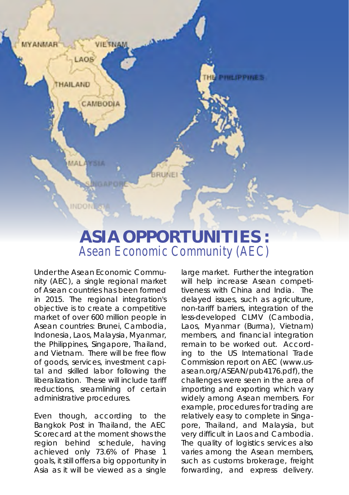

# **ASIA OPPORTUNITIES :** *Asean Economic Community (AEC)*

Under the Asean Economic Community (AEC), a single regional market of Asean countries has been formed in 2015. The regional integration's objective is to create a competitive market of over 600 million people in Asean countries: Brunei, Cambodia, Indonesia, Laos, Malaysia, Myanmar, the Philippines, Singapore, Thailand, and Vietnam. There will be free flow of goods, services, investment capital and skilled labor following the liberalization. These will include tariff reductions, sreamlining of certain administrative procedures.

Even though, according to the Bangkok Post in Thailand, the AEC Scorecard at the moment shows the region behind schedule, having achieved only 73.6% of Phase 1 goals, it still offers a big opportunity in Asia as it will be viewed as a single large market. Further the integration will help increase Asean competitiveness with China and India. The delayed issues, such as agriculture, non-tariff barriers, integration of the less-developed CLMV (Cambodia, Laos, Myanmar (Burma), Vietnam) members, and financial integration remain to be worked out. According to the US International Trade Commission report on AEC (*www.usasean.org/ASEAN/pub4176.pdf*), the challenges were seen in the area of importing and exporting which vary widely among Asean members. For example, procedures for trading are relatively easy to complete in Singapore, Thailand, and Malaysia, but very difficult in Laos and Cambodia. The quality of logistics services also varies among the Asean members, such as customs brokerage, freight forwarding, and express delivery.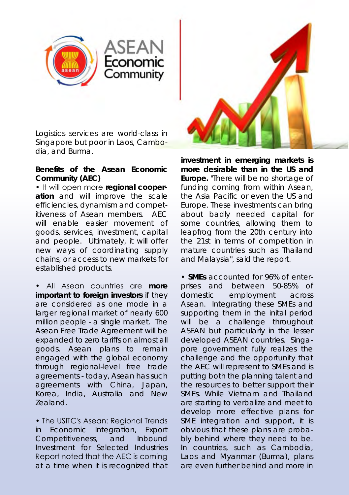

Logistics services are world-class in Singapore but poor in Laos, Cambodia, and Burma.

ASEAN<br>Economic

## **Benefits of the Asean Economic Community (AEC)**

• It will open more **regional cooperation** and will improve the scale efficiencies, dynamism and competitiveness of Asean members. AEC will enable easier movement of goods, services, investment, capital and people. Ultimately, it will offer new ways of coordinating supply chains, or access to new markets for established products.

• All Asean countries are **more important to foreign investors** if they are considered as one mode in a larger regional market of nearly 600 million people - a single market. The Asean Free Trade Agreement will be expanded to zero tariffs on almost all goods. Asean plans to remain engaged with the global economy through regional-level free trade agreements - today, Asean has such agreements with China, Japan, Korea, India, Australia and New Zealand.

• The USITC's Asean: Regional Trends in Economic Integration, Export Competitiveness, and Inbound Investment for Selected Industries Report noted that the AEC is coming at a time when it is recognized that



**investment in emerging markets is more desirable than in the US and Europe.** "There will be no shortage of funding coming from within Asean, the Asia Pacific or even the US and Europe. These investments can bring about badly needed capital for some countries, allowing them to leapfrog from the 20th century into the 21st in terms of competition in mature countries such as Thailand and Malaysia", said the report.

• **SMEs** accounted for 96% of enterprises and between 50-85% of domestic employment across Asean. Integrating these SMEs and supporting them in the inital period will be a challenge throughout ASEAN but particularly in the lesser developed ASEAN countries. Singapore government fully realizes the challenge and the opportunity that the AEC will represent to SMEs and is putting both the planning talent and the resources to better support their SMEs. While Vietnam and Thailand are starting to verbalize and meet to develop more effective plans for SME integration and support, it is obvious that these plans are probably behind where they need to be. In countries, such as Cambodia, Laos and Myanmar (Burma), plans are even further behind and more in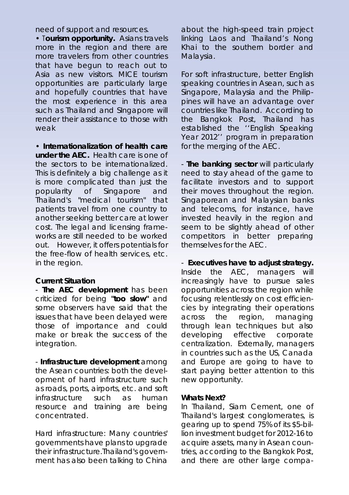need of support and resources. need of support and resources.

• T**ourism opportunity.** Asians travels • T**ourism opportunity.** Asians travels more in the region and there are more in the region and there are more travelers from other countries more travelers from other countries that have begun to reach out to that have begun to reach out to Asia as new visitors. MICE tourism Asia as new visitors. MICE tourism opportunities are particularly large opportunities are particularly large and hopefully countries that have and hopefully countries that have the most experience in this area the most experience in this area such as Thailand and SIngapore will such as Thailand and SIngapore will render their assistance to those with th weak weak

• **Internationalization of health care**  • **Internationalization of health care under the AEC.** Health care is one of **under the AEC.** Health care is one of the sectors to be internationalized. the sectors to be internationalized. This is definitely a big challenge as it This is definitely a big challenge as it is more complicated than just the is more complicated than just the popularity of Singapore and popularity of Singapore and Thailand's "medical tourism" that Thailand's "medical tourism" that patients travel from one country to patients travel from one country to another seeking better care at lower another seeking better care at lower cost. The legal and licensing frame-cost. The legal and licensing frameworks are still needed to be worked works are still needed to be worked out. However, it offers potentials for th the free-flow of health services, etc. the free-flow of health services, etc. in the region. in the region.

## **Current Situation Current Situation**

- **The AEC development** has been - **The AEC development** has been criticized for being **"too slow"** and criticized for being **"too slow"** and some observers have said that the some observers have said that the issues that have been delayed were issues that have been delayed were those of importance and could those of importance and could make or break the success of the make or break the success of the integration. integration.

- **Infrastructure development** among - **Infrastructure development** among the Asean countries: both the devel-the Asean countries: both the development of hard infrastructure such opment of hard infrastructure such as roads, ports, airports, etc. and soft as roads, ports, airports, etc. and soft infrastructure such as human infrastructure such as human resource and training are being resource and training are being concentrated. concentrated.

Hard infrastructure: Many countries' Hard infrastructure: Many countries' governments have plans to upgrade governments have plans to upgrade their infrastructure.Thailand's govern-their infrastructure.Thailand's government has also been talking to China ment has also been talking to China

about the high-speed train project about the high-speed train project linking Laos and Thailand's Nong linking Laos and Thailand's Nong Khai to the southern border and Khai to the southern border and Malaysia. Malaysia.

For soft infrastructure, better English For soft infrastructure, better English speaking countries in Asean, such as speaking countries in Asean, such as Singapore, Malaysia and the Philip-Singapore, Malaysia and the Philippines will have an advantage over pines will have an advantage over countries like Thailand. According to countries like Thailand. According to the Bangkok Post, Thailand has the Bangkok Post, Thailand has established the ''English Speaking established the ''English Speaking Year 2012'' program in preparation Year 2012'' program in preparation for the merging of the AEC. for the merging of the AEC.

- **The banking sector** will particularly - **The banking sector** will particularly need to stay ahead of the game to need to stay ahead of the game to facilitate investors and to support facilitate investors and to support their moves throughout the region. their moves throughout the region. Singaporean and Malaysian banks Singaporean and Malaysian banks and telecoms, for instance, have and telecoms, for instance, have invested heavily in the region and invested heavily in the region and seem to be slightly ahead of other seem to be slightly ahead of other competitors in better preparing competitors in better preparing themselves for the AEC. themselves for the AEC.

- **Executives have to adjust strategy.** - **Executives have to adjust strategy.** Inside the AEC, managers will Inside the AEC, managers will increasingly have to pursue sales increasingly have to pursue sales opportunities across the region while opportunities across the region while focusing relentlessly on cost efficien-focusing relentlessly on cost efficiencies by integrating their operations cies by integrating their operations across the region, managing across the region, managing through lean techniques but also through lean techniques but also developing effective corporate developing effective corporate centralization. Externally, managers centralization. Externally, managers in countries such as the US, Canada in countries such as the US, Canada and Europe are going to have to and Europe are going to have to start paying better attention to this start paying better attention to this new opportunity. new opportunity.

#### **Whats Next? Whats Next?**

In Thailand, Siam Cement, one of In Thailand, Siam Cement, one of Thailand's largest conglomerates, is Thailand's largest conglomerates, is gearing up to spend 75% of its \$5-bil-gearing up to spend 75% of its \$5-billion investment budget for 2012-16 to lion investment budget for 2012-16 to acquire assets, many in Asean coun-acquire assets, many in Asean countries, according to the Bangkok Post, tries, according to the Bangkok Post, and there are other large compa-and there are other large compa